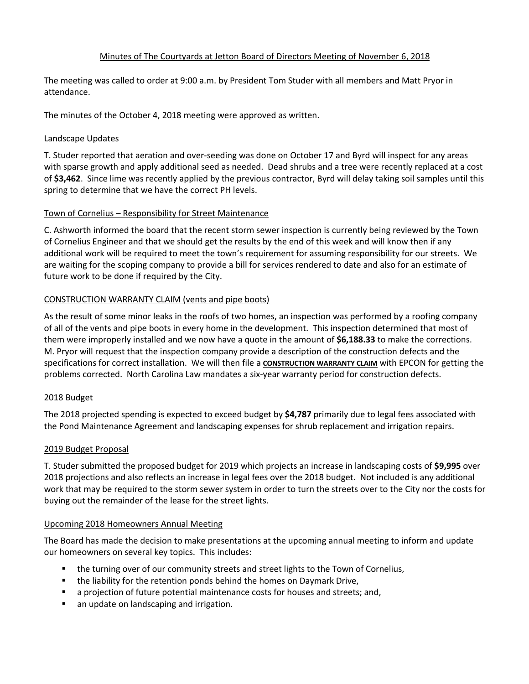# Minutes of The Courtyards at Jetton Board of Directors Meeting of November 6, 2018

The meeting was called to order at 9:00 a.m. by President Tom Studer with all members and Matt Pryor in attendance.

The minutes of the October 4, 2018 meeting were approved as written.

## Landscape Updates

T. Studer reported that aeration and over-seeding was done on October 17 and Byrd will inspect for any areas with sparse growth and apply additional seed as needed. Dead shrubs and a tree were recently replaced at a cost of **\$3,462**. Since lime was recently applied by the previous contractor, Byrd will delay taking soil samples until this spring to determine that we have the correct PH levels.

# Town of Cornelius – Responsibility for Street Maintenance

C. Ashworth informed the board that the recent storm sewer inspection is currently being reviewed by the Town of Cornelius Engineer and that we should get the results by the end of this week and will know then if any additional work will be required to meet the town's requirement for assuming responsibility for our streets. We are waiting for the scoping company to provide a bill for services rendered to date and also for an estimate of future work to be done if required by the City.

# CONSTRUCTION WARRANTY CLAIM (vents and pipe boots)

As the result of some minor leaks in the roofs of two homes, an inspection was performed by a roofing company of all of the vents and pipe boots in every home in the development. This inspection determined that most of them were improperly installed and we now have a quote in the amount of **\$6,188.33** to make the corrections. M. Pryor will request that the inspection company provide a description of the construction defects and the specifications for correct installation. We will then file a **CONSTRUCTION WARRANTY CLAIM** with EPCON for getting the problems corrected. North Carolina Law mandates a six-year warranty period for construction defects.

## 2018 Budget

The 2018 projected spending is expected to exceed budget by **\$4,787** primarily due to legal fees associated with the Pond Maintenance Agreement and landscaping expenses for shrub replacement and irrigation repairs.

# 2019 Budget Proposal

T. Studer submitted the proposed budget for 2019 which projects an increase in landscaping costs of **\$9,995** over 2018 projections and also reflects an increase in legal fees over the 2018 budget. Not included is any additional work that may be required to the storm sewer system in order to turn the streets over to the City nor the costs for buying out the remainder of the lease for the street lights.

## Upcoming 2018 Homeowners Annual Meeting

The Board has made the decision to make presentations at the upcoming annual meeting to inform and update our homeowners on several key topics. This includes:

- the turning over of our community streets and street lights to the Town of Cornelius,
- the liability for the retention ponds behind the homes on Daymark Drive,
- a projection of future potential maintenance costs for houses and streets; and,
- an update on landscaping and irrigation.